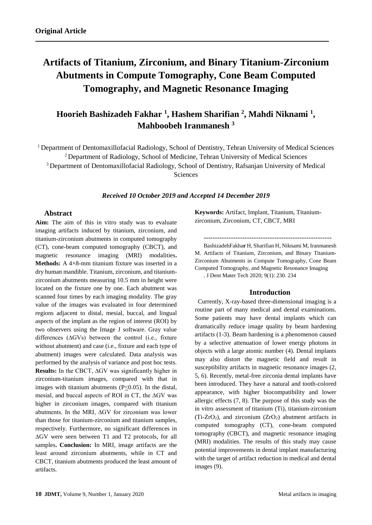# **Artifacts of Titanium, Zirconium, and Binary Titanium-Zirconium Abutments in Compute Tomography, Cone Beam Computed Tomography, and Magnetic Resonance Imaging**

# **Hoorieh Bashizadeh Fakhar <sup>1</sup> , Hashem Sharifian <sup>2</sup> , Mahdi Niknami <sup>1</sup> , Mahboobeh Iranmanesh <sup>3</sup>**

<sup>1</sup> Department of Dentomaxillofacial Radiology, School of Dentistry, Tehran University of Medical Sciences <sup>2</sup> Department of Radiology, School of Medicine, Tehran University of Medical Sciences <sup>3</sup> Department of Dentomaxillofacial Radiology, School of Dentistry, Rafsanjan University of Medical Sciences

*Received 10 October 2019 and Accepted 14 December 2019*

# **Abstract**

**Aim:** The aim of this in vitro study was to evaluate imaging artifacts induced by titanium, zirconium, and titanium-zirconium abutments in computed tomography (CT), cone-beam computed tomography (CBCT), and magnetic resonance imaging (MRI) modalities**. Methods:** A 4×8-mm titanium fixture was inserted in a dry human mandible. Titanium, zirconium, and titaniumzirconium abutments measuring 10.5 mm in height were located on the fixture one by one. Each abutment was scanned four times by each imaging modality. The gray value of the images was evaluated in four determined regions adjacent to distal, mesial, buccal, and lingual aspects of the implant as the region of interest (ROI) by two observers using the Image J software. Gray value differences (∆GVs) between the control (i.e., fixture without abutment) and case (i.e., fixture and each type of abutment) images were calculated. Data analysis was performed by the analysis of variance and post hoc tests. **Results:** In the CBCT, ∆GV was significantly higher in zirconium-titanium images, compared with that in images with titanium abutments ( $P \le 0.05$ ). In the distal, mesial, and buccal aspects of ROI in CT, the ∆GV was higher in zirconium images, compared with titanium abutments. In the MRI, ∆GV for zirconium was lower than those for titanium-zirconium and titanium samples, respectively. Furthermore, no significant differences in ∆GV were seen between T1 and T2 protocols, for all samples**. Conclusion:** In MRI, image artifacts are the least around zirconium abutments, while in CT and CBCT, titanium abutments produced the least amount of artifacts.

**Keywords:** Artifact, Implant, Titanium, Titaniumzirconium, Zirconium, CT, CBCT, MRI

--------------------------------------------------------

BashizadehFakha**r** H, Sharifian H, Niknami M, Iranmanesh M. Artifacts of Titanium, Zirconium, and Binary Titanium-Zirconium Abutments in Compute Tomography, Cone Beam Computed Tomography, and Magnetic Resonance Imaging

. J Dent Mater Tech 2020; 9(1): 230. 234

## **Introduction**

 Currently, X-ray-based three-dimensional imaging is a routine part of many medical and dental examinations. Some patients may have dental implants which can dramatically reduce image quality by beam hardening artifacts (1-3). Beam hardening is a phenomenon caused by a selective attenuation of lower energy photons in objects with a large atomic number (4). Dental implants may also distort the magnetic field and result in susceptibility artifacts in magnetic resonance images (2, 5, 6). Recently, metal-free zirconia dental implants have been introduced. They have a natural and tooth-colored appearance, with higher biocompatibility and lower allergic effects (7, 8). The purpose of this study was the in vitro assessment of titanium (Ti), titanium-zirconium (Ti-ZrO<sub>2</sub>), and zirconium (ZrO<sub>2</sub>) abutment artifacts in computed tomography (CT), cone-beam computed tomography (CBCT), and magnetic resonance imaging (MRI) modalities. The results of this study may cause potential improvements in dental implant manufacturing with the target of artifact reduction in medical and dental images (9).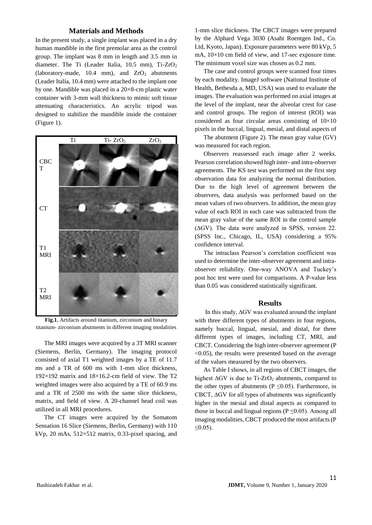#### **Materials and Methods**

In the present study, a single implant was placed in a dry human mandible in the first premolar area as the control group. The implant was 8 mm in length and 3.5 mm in diameter. The Ti (Leader Italia, 10.5 mm), Ti-ZrO<sup>2</sup> (laboratory-made,  $10.4$  mm), and  $ZrO<sub>2</sub>$  abutments (Leader Italia, 10.4 mm) were attached to the implant one by one. Mandible was placed in a 20×8-cm plastic water container with 3-mm wall thickness to mimic soft tissue attenuating characteristics. An acrylic tripod was designed to stabilize the mandible inside the container (Figure 1).



**Fig.1.** Artifacts around titanium, zirconium and binary titanium- zirconium abutments in different imaging modalities

The MRI images were acquired by a 3T MRI scanner (Siemens, Berlin, Germany). The imaging protocol consisted of axial T1 weighted images by a TE of 11.7 ms and a TR of 600 ms with 1-mm slice thickness, 192×192 matrix and 18×16.2-cm field of view. The T2 weighted images were also acquired by a TE of 60.9 ms and a TR of 2500 ms with the same slice thickness, matrix, and field of view. A 20-channel head coil was utilized in all MRI procedures.

The CT images were acquired by the Somatom Sensation 16 Slice (Siemens, Berlin, Germany) with 110 kVp, 20 mAs,  $512\times512$  matrix, 0.33-pixel spacing, and

1-mm slice thickness. The CBCT images were prepared by the Alphard Vega 3030 (Asahi Roentgen Ind., Co. Ltd, Kyoto, Japan). Exposure parameters were 80 kVp, 5 mA,  $10\times10$  cm field of view, and 17-sec exposure time. The minimum voxel size was chosen as 0.2 mm.

The case and control groups were scanned four times by each modality. ImageJ software (National Institute of Health, Bethesda a, MD, USA) was used to evaluate the images. The evaluation was performed on axial images at the level of the implant, near the alveolar crest for case and control groups. The region of interest (ROI) was considered as four circular areas consisting of  $10\times10$ pixels in the buccal, lingual, mesial, and distal aspects of

The abutment (Figure 2). The mean gray value (GV) was measured for each region.

Observers reassessed each image after 2 weeks. Pearson correlation showed high inter- and intra-observer agreements. The KS test was performed on the first step observation data for analyzing the normal distribution. Due to the high level of agreement between the observers, data analysis was performed based on the mean values of two observers. In addition, the mean gray value of each ROI in each case was subtracted from the mean gray value of the same ROI in the control sample (∆GV). The data were analyzed in SPSS, version 22. (SPSS Inc., Chicago, IL, USA) considering a 95% confidence interval.

The intraclass Pearson's correlation coefficient was used to determine the inter-observer agreement and intraobserver reliability. One-way ANOVA and Tuckey's post hoc test were used for comparisons. A P-value less than 0.05 was considered statistically significant.

#### **Results**

In this study, ∆GV was evaluated around the implant with three different types of abutments in four regions, namely buccal, lingual, mesial, and distal, for three different types of images, including CT, MRI, and CBCT. Considering the high inter-observer agreement (P  $\leq$ 0.05), the results were presented based on the average of the values measured by the two observers.

As Table I shows, in all regions of CBCT images, the highest  $\Delta$ GV is due to Ti-ZrO<sub>2</sub> abutments, compared to the other types of abutments ( $P \le 0.05$ ). Furthermore, in CBCT,  $\Delta$ GV for all types of abutments was significantly higher in the mesial and distal aspects as compared to those in buccal and lingual regions ( $P \le 0.05$ ). Among all imaging modalities, CBCT produced the most artifacts (P  $≤0.05$ ).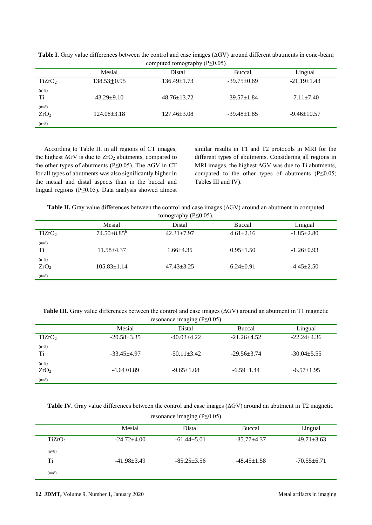|                             | computed tomography $(r \leq 0.03)$ |                   |                   |                   |
|-----------------------------|-------------------------------------|-------------------|-------------------|-------------------|
|                             | Mesial                              | Distal            | <b>Buccal</b>     | Lingual           |
| TiZrO <sub>2</sub>          | $138.53 \pm 0.95$                   | $136.49 \pm 1.73$ | $-39.75+0.69$     | $-21.19 \pm 1.43$ |
| $(n=8)$<br>Ti               | $43.29 + 9.10$                      | $48.76 \pm 13.72$ | $-39.57+1.84$     | $-7.11 \pm 7.40$  |
| $(n=8)$<br>ZrO <sub>2</sub> | $124.08 \pm 3.18$                   | $127.46 \pm 3.08$ | $-39.48 \pm 1.85$ | $-9.46 \pm 10.57$ |
| $(n=8)$                     |                                     |                   |                   |                   |

**Table I.** Gray value differences between the control and case images (∆GV) around different abutments in cone-beam computed tomography (P≤0.05)

According to Table II, in all regions of CT images, the highest ∆GV is due to ZrO<sub>2</sub> abutments, compared to the other types of abutments (P≤0.05). The ∆GV in CT for all types of abutments was also significantly higher in the mesial and distal aspects than in the buccal and lingual regions (P≤0.05). Data analysis showed almost similar results in T1 and T2 protocols in MRI for the different types of abutments. Considering all regions in MRI images, the highest ∆GV was due to Ti abutments, compared to the other types of abutments (P≤0.05; Tables III and IV).

| <b>Table II.</b> Gray value differences between the control and case images $(\Delta G V)$ around an abutment in computed |  |  |  |  |
|---------------------------------------------------------------------------------------------------------------------------|--|--|--|--|
| $tan \alpha$ and $\mathbf{h} \cdot \mathbf{D} \geq 0$                                                                     |  |  |  |  |

|                             | tomography $(1 \le 0.03)$ . |                  |                 |                  |
|-----------------------------|-----------------------------|------------------|-----------------|------------------|
|                             | Mesial                      | Distal           | Buccal          | Lingual          |
| TiZrO <sub>2</sub>          | $74.50 \pm 8.85^b$          | $42.31 \pm 7.97$ | $4.61 \pm 2.16$ | $-1.85 \pm 2.80$ |
| $(n=8)$<br>Ti               | $11.58 \pm 4.37$            | $1.66 + 4.35$    | $0.95 \pm 1.50$ | $-1.26 \pm 0.93$ |
| $(n=8)$<br>ZrO <sub>2</sub> | $105.83 \pm 1.14$           | $47.43 \pm 3.25$ | $6.24 \pm 0.91$ | $-4.45 \pm 2.50$ |
| $(n=8)$                     |                             |                  |                 |                  |

**Table III**. Gray value differences between the control and case images (∆GV) around an abutment in T1 magnetic resonance imaging (P≤0.05)

|                             |                   | resonance maging $(r \ge 0.03)$ |                   |                  |
|-----------------------------|-------------------|---------------------------------|-------------------|------------------|
|                             | Mesial            | Distal                          | Buccal            | Lingual          |
| TiZrO <sub>2</sub>          | $-20.58 \pm 3.35$ | $-40.03+4.22$                   | $-21.26+4.52$     | $-22.24+4.36$    |
| $(n=8)$<br>Ti               | $-33.45+4.97$     | $-50.11 \pm 3.42$               | $-29.56 \pm 3.74$ | $-30.04 + 5.55$  |
| $(n=8)$<br>ZrO <sub>2</sub> | $-4.64+0.89$      | $-9.65 \pm 1.08$                | $-6.59 \pm 1.44$  | $-6.57 \pm 1.95$ |
| $(n=8)$                     |                   |                                 |                   |                  |

**Table IV.** Gray value differences between the control and case images (∆GV) around an abutment in T2 magnetic

resonance imaging (P≤0.05)

|                    | Mesial            | Distal        | Buccal            | Lingual           |
|--------------------|-------------------|---------------|-------------------|-------------------|
| TiZrO <sub>2</sub> | $-24.72+4.00$     | $-61.44+5.01$ | $-35.77+4.37$     | $-49.71 \pm 3.63$ |
| $(n=8)$            |                   |               |                   |                   |
| Ti                 | $-41.98 \pm 3.49$ | $-85.25+3.56$ | $-48.45 \pm 1.58$ | $-70.55+6.71$     |
| $(n=8)$            |                   |               |                   |                   |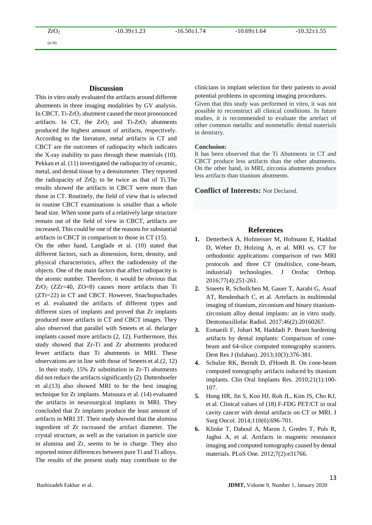$(n=8)$ 

# **Discussion**

This in vitro study evaluated the artifacts around different abutments in three imaging modalities by GV analysis. In CBCT,  $Ti-ZrO<sub>2</sub>$  abutment caused the most pronounced artifacts. In CT, the  $ZrO<sub>2</sub>$  and Ti-ZrO<sub>2</sub> abutments produced the highest amount of artifacts, respectively. According to the literature, metal artifacts in CT and CBCT are the outcomes of radiopacity which indicates the X-ray inability to pass through these materials (10). Pekkan et al. (11) investigated the radiopacity of ceramic, metal, and dental tissue by a densitometer. They reported the radiopacity of  $ZrQ_2$  to be twice as that of Ti.The results showed the artifacts in CBCT were more than those in CT. Routinely, the field of view that is selected in routine CBCT examinations is smaller than a whole head size. When some parts of a relatively large structure remain out of the field of view in CBCT, artifacts are increased. This could be one of the reasons for substantial artifacts in CBCT in comparison to those in CT (15).

On the other hand, Langlade et al. (10) stated that different factors, such as dimension, form, density, and physical characteristics, affect the radiodensity of the objects. One of the main factors that affect radiopacity is the atomic number. Therefore, it would be obvious that  $ZrO_2$  ( $ZZr=40$ ,  $ZO=8$ ) causes more artifacts than Ti (ZTi=22) in CT and CBCT. However, Snachopuchades et al. evaluated the artifacts of different types and different sizes of implants and proved that Zr implants produced more artifacts in CT and CBCT images. They also observed that parallel with Smeets et al. thelarger implants caused more artifacts (2, 12). Furthermore, this study showed that Zr-Ti and Zr abutments produced fewer artifacts than Ti abutments in MRI. These observations are in line with those of Smeets et al.(2, 12) . In their study, 15% Zr substitution in Zr-Ti abutments did not reduce the artifacts significantly (2). Duttenhoefer et al.(13) also showed MRI to be the best imaging technique for Zr implants. Matsuura et al. (14) evaluated the artifacts in neurosurgical implants in MRI. They concluded that Zr implants produce the least amount of artifacts in MRI 3T. Their study showed that the alumina ingredient of Zr increased the artifact diameter. The crystal structure, as well as the variation in particle size in alumina and Zr, seems to be in charge. They also reported minor differences between pure Ti and Ti alloys. The results of the present study may contribute to the

clinicians in implant selection for their patients to avoid potential problems in upcoming imaging procedures.

Given that this study was performed in vitro, it was not possible to reconstruct all clinical conditions. In future studies, it is recommended to evaluate the artefact of other common metallic and nonmetallic dental materials in dentistry.

#### **Conclusion:**

It has been observed that the Ti Abutments in CT and CBCT produce less artifacts than the other abutments. On the other hand, in MRI, zirconia abutments produce less artifacts than titanium abutments.

**Conflict of Interests:** Not Declared.

### **References**

- **1.** Detterbeck A, Hofmeister M, Hofmann E, Haddad D, Weber D, Holzing A, et al. MRI vs. CT for orthodontic applications: comparison of two MRI protocols and three CT (multislice, cone-beam, industrial) technologies. J Orofac Orthop. 2016;77(4):251-261.
- **2.** Smeets R, Schollchen M, Gauer T, Aarabi G, Assaf AT, Rendenbach C, et al. Artefacts in multimodal imaging of titanium, zirconium and binary titaniumzirconium alloy dental implants: an in vitro study. Dentomaxillofac Radiol. 2017;46(2):20160267.
- **3.** Esmaeili F, Johari M, Haddadi P. Beam hardening artifacts by dental implants: Comparison of conebeam and 64-slice computed tomography scanners. Dent Res J (Isfahan). 2013;10(3):376-381.
- **4.** Schulze RK, Berndt D, d'Hoedt B. On cone-beam computed tomography artifacts induced by titanium implants. Clin Oral Implants Res. 2010;21(1):100- 107.
- **5.** Hong HR, Jin S, Koo HJ, Roh JL, Kim JS, Cho KJ, et al. Clinical values of (18) F-FDG PET/CT in oral cavity cancer with dental artifacts on CT or MRI. J Surg Oncol. 2014;110(6):696-701.
- **6.** Klinke T, Daboul A, Maron J, Gredes T, Puls R, Jaghsi A, et al. Artifacts in magnetic resonance imaging and computed tomography caused by dental materials. PLoS One. 2012;7(2):e31766.